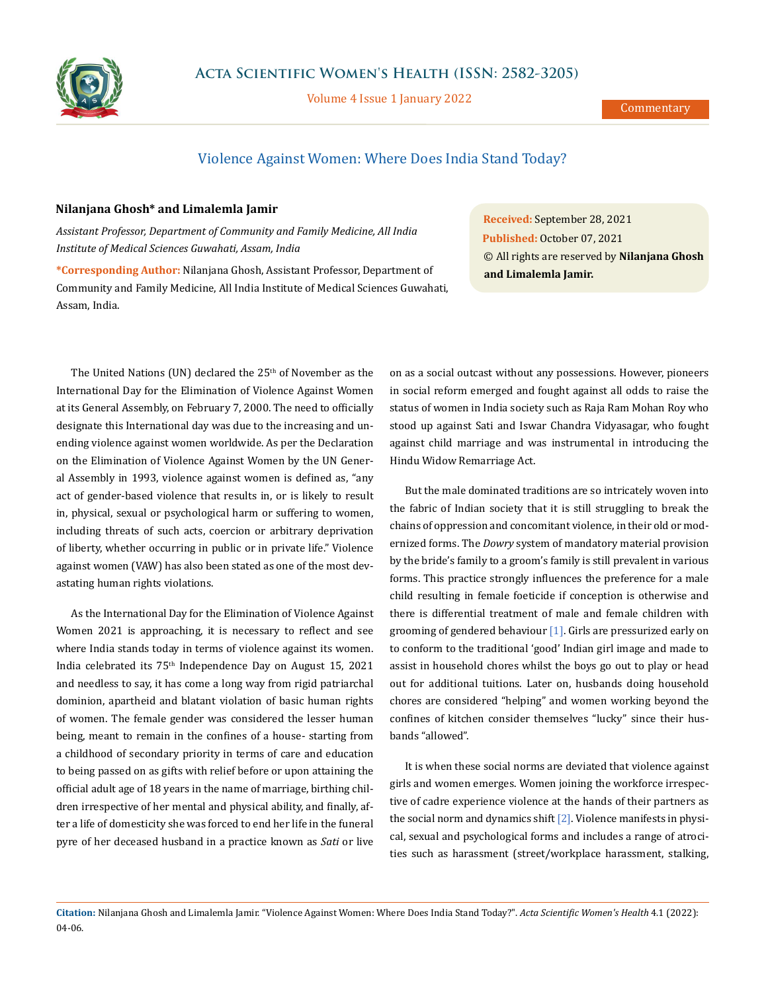

Volume 4 Issue 1 January 2022

## Violence Against Women: Where Does India Stand Today?

## **Nilanjana Ghosh\* and Limalemla Jamir**

*Assistant Professor, Department of Community and Family Medicine, All India Institute of Medical Sciences Guwahati, Assam, India*

**\*Corresponding Author:** Nilanjana Ghosh, Assistant Professor, Department of Community and Family Medicine, All India Institute of Medical Sciences Guwahati, Assam, India.

The United Nations (UN) declared the 25<sup>th</sup> of November as the International Day for the Elimination of Violence Against Women at its General Assembly, on February 7, 2000. The need to officially designate this International day was due to the increasing and unending violence against women worldwide. As per the Declaration on the Elimination of Violence Against Women by the UN General Assembly in 1993, violence against women is defined as, "any act of gender-based violence that results in, or is likely to result in, physical, sexual or psychological harm or suffering to women, including threats of such acts, coercion or arbitrary deprivation of liberty, whether occurring in public or in private life." Violence against women (VAW) has also been stated as one of the most devastating human rights violations.

As the International Day for the Elimination of Violence Against Women 2021 is approaching, it is necessary to reflect and see where India stands today in terms of violence against its women. India celebrated its 75<sup>th</sup> Independence Day on August 15, 2021 and needless to say, it has come a long way from rigid patriarchal dominion, apartheid and blatant violation of basic human rights of women. The female gender was considered the lesser human being, meant to remain in the confines of a house- starting from a childhood of secondary priority in terms of care and education to being passed on as gifts with relief before or upon attaining the official adult age of 18 years in the name of marriage, birthing children irrespective of her mental and physical ability, and finally, after a life of domesticity she was forced to end her life in the funeral pyre of her deceased husband in a practice known as *Sati* or live

**Received:** September 28, 2021 **Published:** October 07, 2021 © All rights are reserved by **Nilanjana Ghosh and Limalemla Jamir.**

on as a social outcast without any possessions. However, pioneers in social reform emerged and fought against all odds to raise the status of women in India society such as Raja Ram Mohan Roy who stood up against Sati and Iswar Chandra Vidyasagar, who fought against child marriage and was instrumental in introducing the Hindu Widow Remarriage Act.

But the male dominated traditions are so intricately woven into the fabric of Indian society that it is still struggling to break the chains of oppression and concomitant violence, in their old or modernized forms. The *Dowry* system of mandatory material provision by the bride's family to a groom's family is still prevalent in various forms. This practice strongly influences the preference for a male child resulting in female foeticide if conception is otherwise and there is differential treatment of male and female children with grooming of gendered behaviour [1]. Girls are pressurized early on to conform to the traditional 'good' Indian girl image and made to assist in household chores whilst the boys go out to play or head out for additional tuitions. Later on, husbands doing household chores are considered "helping" and women working beyond the confines of kitchen consider themselves "lucky" since their husbands "allowed".

It is when these social norms are deviated that violence against girls and women emerges. Women joining the workforce irrespective of cadre experience violence at the hands of their partners as the social norm and dynamics shift [2]. Violence manifests in physical, sexual and psychological forms and includes a range of atrocities such as harassment (street/workplace harassment, stalking,

**Citation:** Nilanjana Ghosh and Limalemla Jamir. "Violence Against Women: Where Does India Stand Today?". *Acta Scientific Women's Health* 4.1 (2022): 04-06.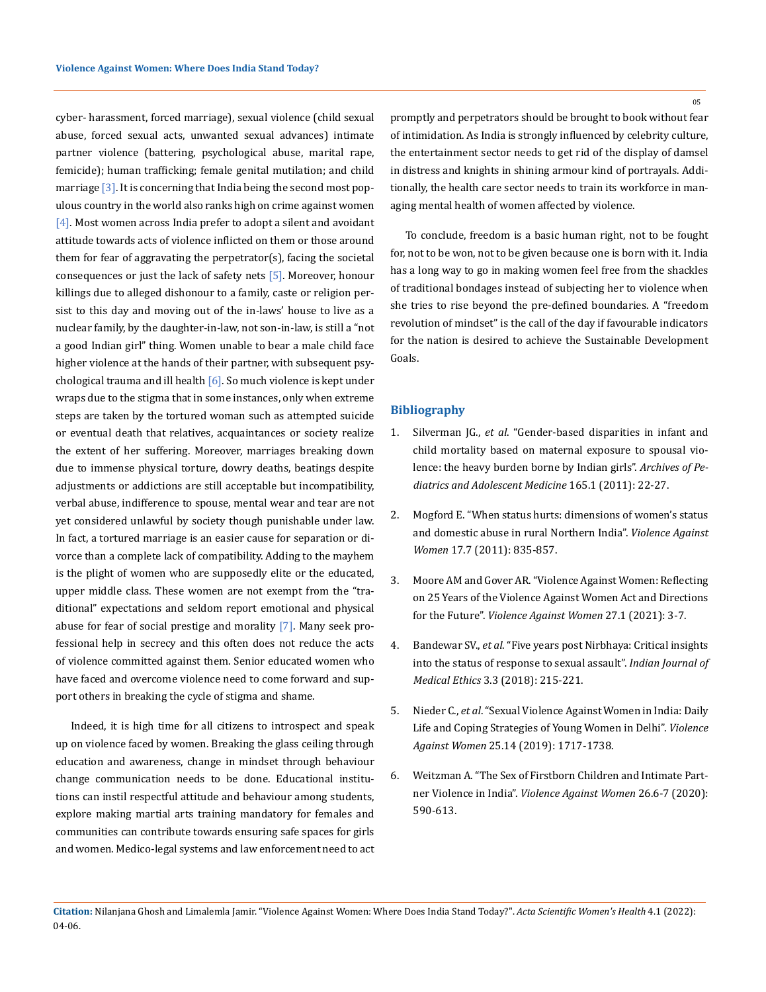cyber- harassment, forced marriage), sexual violence (child sexual abuse, forced sexual acts, unwanted sexual advances) intimate partner violence (battering, psychological abuse, marital rape, femicide); human trafficking; female genital mutilation; and child marriage  $\lceil 3 \rceil$ . It is concerning that India being the second most populous country in the world also ranks high on crime against women [4]. Most women across India prefer to adopt a silent and avoidant attitude towards acts of violence inflicted on them or those around them for fear of aggravating the perpetrator(s), facing the societal consequences or just the lack of safety nets [5]. Moreover, honour killings due to alleged dishonour to a family, caste or religion persist to this day and moving out of the in-laws' house to live as a nuclear family, by the daughter-in-law, not son-in-law, is still a "not a good Indian girl" thing. Women unable to bear a male child face higher violence at the hands of their partner, with subsequent psychological trauma and ill health  $[6]$ . So much violence is kept under wraps due to the stigma that in some instances, only when extreme steps are taken by the tortured woman such as attempted suicide or eventual death that relatives, acquaintances or society realize the extent of her suffering. Moreover, marriages breaking down due to immense physical torture, dowry deaths, beatings despite adjustments or addictions are still acceptable but incompatibility, verbal abuse, indifference to spouse, mental wear and tear are not yet considered unlawful by society though punishable under law. In fact, a tortured marriage is an easier cause for separation or divorce than a complete lack of compatibility. Adding to the mayhem is the plight of women who are supposedly elite or the educated, upper middle class. These women are not exempt from the "traditional" expectations and seldom report emotional and physical abuse for fear of social prestige and morality [7]. Many seek professional help in secrecy and this often does not reduce the acts of violence committed against them. Senior educated women who have faced and overcome violence need to come forward and support others in breaking the cycle of stigma and shame.

Indeed, it is high time for all citizens to introspect and speak up on violence faced by women. Breaking the glass ceiling through education and awareness, change in mindset through behaviour change communication needs to be done. Educational institutions can instil respectful attitude and behaviour among students, explore making martial arts training mandatory for females and communities can contribute towards ensuring safe spaces for girls and women. Medico-legal systems and law enforcement need to act 05

promptly and perpetrators should be brought to book without fear of intimidation. As India is strongly influenced by celebrity culture, the entertainment sector needs to get rid of the display of damsel in distress and knights in shining armour kind of portrayals. Additionally, the health care sector needs to train its workforce in managing mental health of women affected by violence.

To conclude, freedom is a basic human right, not to be fought for, not to be won, not to be given because one is born with it. India has a long way to go in making women feel free from the shackles of traditional bondages instead of subjecting her to violence when she tries to rise beyond the pre-defined boundaries. A "freedom revolution of mindset" is the call of the day if favourable indicators for the nation is desired to achieve the Sustainable Development Goals.

## **Bibliography**

- 1. Silverman JG., *et al*[. "Gender-based disparities in infant and](https://pubmed.ncbi.nlm.nih.gov/21199976/)  [child mortality based on maternal exposure to spousal vio](https://pubmed.ncbi.nlm.nih.gov/21199976/)[lence: the heavy burden borne by Indian girls".](https://pubmed.ncbi.nlm.nih.gov/21199976/) *Archives of Pe[diatrics and Adolescent Medicine](https://pubmed.ncbi.nlm.nih.gov/21199976/)* 165.1 (2011): 22-27.
- 2. [Mogford E. "When status hurts: dimensions of women's status](https://pubmed.ncbi.nlm.nih.gov/21705360/)  [and domestic abuse in rural Northern India".](https://pubmed.ncbi.nlm.nih.gov/21705360/) *Violence Against Women* [17.7 \(2011\): 835-857.](https://pubmed.ncbi.nlm.nih.gov/21705360/)
- 3. [Moore AM and Gover AR. "Violence Against Women: Reflecting](https://pubmed.ncbi.nlm.nih.gov/32830588/)  [on 25 Years of the Violence Against Women Act and Directions](https://pubmed.ncbi.nlm.nih.gov/32830588/)  for the Future". *[Violence Against Women](https://pubmed.ncbi.nlm.nih.gov/32830588/)* 27.1 (2021): 3-7.
- 4. Bandewar SV., *et al*[. "Five years post Nirbhaya: Critical insights](https://pubmed.ncbi.nlm.nih.gov/29650498/)  [into the status of response to sexual assault".](https://pubmed.ncbi.nlm.nih.gov/29650498/) *Indian Journal of Medical Ethics* [3.3 \(2018\): 215-221.](https://pubmed.ncbi.nlm.nih.gov/29650498/)
- 5. Nieder C., *et al*[. "Sexual Violence Against Women in India: Daily](https://journals.sagepub.com/doi/10.1177/1077801218824056)  [Life and Coping Strategies of Young Women in Delhi".](https://journals.sagepub.com/doi/10.1177/1077801218824056) *Violence Against Women* [25.14 \(2019\): 1717-1738.](https://journals.sagepub.com/doi/10.1177/1077801218824056)
- 6. [Weitzman A. "The Sex of Firstborn Children and Intimate Part](https://pubmed.ncbi.nlm.nih.gov/30915920/)ner Violence in India". *[Violence Against Women](https://pubmed.ncbi.nlm.nih.gov/30915920/)* 26.6-7 (2020): [590-613.](https://pubmed.ncbi.nlm.nih.gov/30915920/)

**Citation:** Nilanjana Ghosh and Limalemla Jamir. "Violence Against Women: Where Does India Stand Today?". *Acta Scientific Women's Health* 4.1 (2022): 04-06.